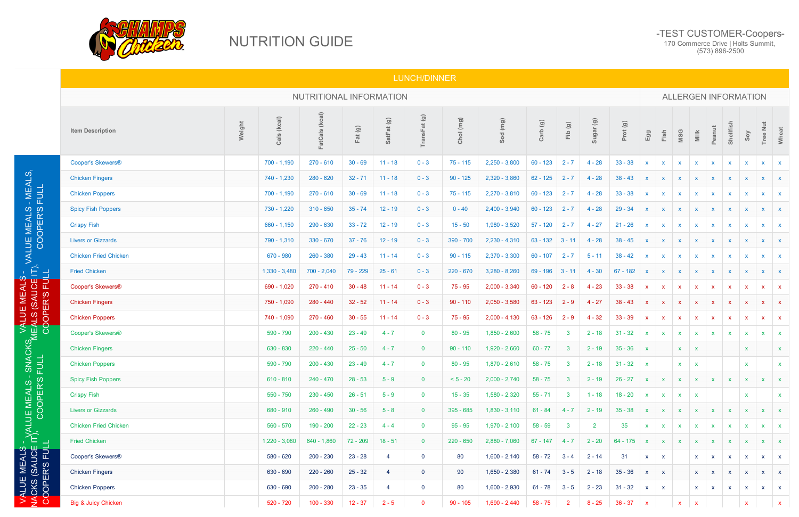## NUTRITION GUIDE

## -TEST CUSTOMER-Coopers-

170 Commerce Drive | Holts Summit, (573) 896-2500

## LUNCH/DINNER

VALUE MEALS - NACKS (SAUCE IT),<br>————————————————————

|                                                                         |                                |        |                 | NUTRITIONAL INFORMATION |           |            |                |             |                 |            |                |              |            | <b>ALLERGEN INFORMATION</b> |              |              |                           |              |                           |              |                           |              |  |  |
|-------------------------------------------------------------------------|--------------------------------|--------|-----------------|-------------------------|-----------|------------|----------------|-------------|-----------------|------------|----------------|--------------|------------|-----------------------------|--------------|--------------|---------------------------|--------------|---------------------------|--------------|---------------------------|--------------|--|--|
|                                                                         | <b>Item Description</b>        | Weight | Cals (kcal)     | FatCals (kcal)          | Fat (g)   | SatFat (g) | TransFat(g)    | Chol (mg)   | Sod (mg)        | Carb (g)   | Fib (g)        | Sugar (g)    | Prot (g)   | Egg                         | Fish         | MSG          | $\frac{1}{2}$             | Peanut       | Shellfish                 | Soy          | <b>Tree Nut</b>           | Wheat        |  |  |
|                                                                         | Cooper's Skewers®              |        | $700 - 1,190$   | $270 - 610$             | $30 - 69$ | $11 - 18$  | $0 - 3$        | $75 - 115$  | $2,250 - 3,800$ | $60 - 123$ | $2 - 7$        | $4 - 28$     | $33 - 38$  | $\mathbf{x}$                | $\mathbf{x}$ | $\mathbf{x}$ | $\mathbf{x}$              | $\mathbf{x}$ | $\mathbf{x}$              | $\mathsf{x}$ | $\mathsf{X}^-$            | $\mathbf{X}$ |  |  |
| - MEALS,<br>FULL                                                        | <b>Chicken Fingers</b>         |        | $740 - 1,230$   | $280 - 620$             | $32 - 71$ | $11 - 18$  | $0 - 3$        | $90 - 125$  | $2,320 - 3,860$ | $62 - 125$ | $2 - 7$        | $4 - 28$     | $38 - 43$  | $\mathsf{X}$                | $\mathbf{x}$ | $\mathsf{X}$ | $\mathbf{x}$              | $\mathbf{x}$ | $\mathbf{x}$              | $\mathsf{x}$ | X                         | $\mathbf{X}$ |  |  |
|                                                                         | <b>Chicken Poppers</b>         |        | $700 - 1,190$   | $270 - 610$             | $30 - 69$ | $11 - 18$  | $0 - 3$        | $75 - 115$  | $2,270 - 3,810$ | $60 - 123$ | $2 - 7$        | $4 - 28$     | $33 - 38$  | $\mathbf{x}$                | $\mathbf{x}$ | $\mathsf{x}$ | $\mathbf{x}$              | $\mathsf{x}$ | $\mathsf{X}$              |              | $\mathbf{x}$              |              |  |  |
|                                                                         | <b>Spicy Fish Poppers</b>      |        | $730 - 1,220$   | $310 - 650$             | $35 - 74$ | $12 - 19$  | $0 - 3$        | $0 - 40$    | $2,400 - 3,940$ | $60 - 123$ | $2 - 7$        | $4 - 28$     | $29 - 34$  | $\mathsf{X}$                | $\mathbf{x}$ | $\mathsf{x}$ | $\boldsymbol{\mathsf{X}}$ | $\mathbf{x}$ | $\boldsymbol{\mathsf{x}}$ |              |                           |              |  |  |
| ), VALUE MEALS<br>COOPER'S                                              | <b>Crispy Fish</b>             |        | $660 - 1,150$   | 290 - 630               | $33 - 72$ | $12 - 19$  | $0 - 3$        | $15 - 50$   | 1,980 - 3,520   | $57 - 120$ | $2 - 7$        | $4 - 27$     | $21 - 26$  | $\mathbf{x}$                | $\mathbf{x}$ | $\mathbf{x}$ | $\boldsymbol{\mathsf{x}}$ | $\mathbf{x}$ | $\mathbf{x}$              |              | $\mathbf{x}$              |              |  |  |
|                                                                         | <b>Livers or Gizzards</b>      |        | 790 - 1,310     | $330 - 670$             | $37 - 76$ | $12 - 19$  | $0 - 3$        | $390 - 700$ | $2,230 - 4,310$ | $63 - 132$ | $3 - 11$       | $4 - 28$     | $38 - 45$  | $\mathbf{x}$                | $\mathbf{x}$ | $\mathbf{x}$ | $\boldsymbol{\mathsf{x}}$ |              | $\mathsf{X}$              |              | $\mathbf{x}$              |              |  |  |
|                                                                         | <b>Chicken Fried Chicken</b>   |        | 670 - 980       | $260 - 380$             | $29 - 43$ | $11 - 14$  | $0 - 3$        | $90 - 115$  | $2,370 - 3,300$ | $60 - 107$ | $2 - 7$        | $5 - 11$     | $38 - 42$  | $\mathbf{x}$                | $\mathbf{x}$ | $\mathbf{x}$ | $\boldsymbol{\mathsf{x}}$ |              | $\mathsf{x}$              |              | X                         |              |  |  |
|                                                                         | <b>Fried Chicken</b>           |        | $1,330 - 3,480$ | $700 - 2,040$           | 79 - 229  | $25 - 61$  | $0 - 3$        | $220 - 670$ | $3,280 - 8,260$ | 69 - 196   | $3 - 11$       | $4 - 30$     | $67 - 182$ | $\mathsf{x}$                | $\mathsf{x}$ | $\mathbf{x}$ | $\boldsymbol{\mathsf{x}}$ |              | $\mathsf{x}$              |              | X                         |              |  |  |
|                                                                         | Cooper's Skewers®              |        | 690 - 1,020     | $270 - 410$             | $30 - 48$ | $11 - 14$  | $0 - 3$        | $75 - 95$   | $2,000 - 3,340$ | $60 - 120$ | $2 - 8$        | $4 - 23$     | $33 - 38$  | $\mathbf{x}$                | $\mathbf{x}$ | $\mathsf{x}$ | $\mathbf{x}$              | $\mathbf{x}$ | $\mathbf{x}$              | $\mathsf{x}$ | $\mathbf{x}$              | $\mathbf{x}$ |  |  |
|                                                                         | <b>Chicken Fingers</b>         |        | 750 - 1,090     | 280 - 440               | $32 - 52$ | $11 - 14$  | $0 - 3$        | $90 - 110$  | $2,050 - 3,580$ | $63 - 123$ | $2 - 9$        | $4 - 27$     | $38 - 43$  | $\mathbf{x}$                | $\mathbf{x}$ | $\mathbf{x}$ | $\boldsymbol{\mathsf{x}}$ | $\mathsf{x}$ | $\mathbf{X}$              | $\mathsf{x}$ | $\boldsymbol{\mathsf{x}}$ | $\mathbf{X}$ |  |  |
|                                                                         | <b>Chicken Poppers</b>         |        | 740 - 1,090     | 270 - 460               | $30 - 55$ | $11 - 14$  | $0 - 3$        | $75 - 95$   | $2,000 - 4,130$ | $63 - 126$ | $2 - 9$        | $4 - 32$     | $33 - 39$  | $\mathbf{x}$                | $\mathsf{x}$ | $\mathsf{x}$ | $\boldsymbol{\mathsf{x}}$ | $\mathbf{x}$ | - X                       |              | $\boldsymbol{\mathsf{x}}$ | $\mathbf{x}$ |  |  |
|                                                                         | Cooper's Skewers®              |        | 590 - 790       | $200 - 430$             | $23 - 49$ | $4 - 7$    | $\mathbf{0}$   | $80 - 95$   | $1,850 - 2,600$ | $58 - 75$  | $\mathbf{3}$   | $2 - 18$     | $31 - 32$  | $\mathsf{X}^-$              | $\mathbf{x}$ | $\mathbf{x}$ | $\mathbf{x}$              | $\mathbf{x}$ | $\mathbf{x}$              |              | $\boldsymbol{\mathsf{x}}$ |              |  |  |
|                                                                         | <b>Chicken Fingers</b>         |        | 630 - 830       | $220 - 440$             | $25 - 50$ | $4 - 7$    | $\overline{0}$ | $90 - 110$  | $1,920 - 2,660$ | $60 - 77$  | $\mathbf{3}$   | $2 - 19$     | $35 - 36$  | $\mathbf{x}$                |              | $\mathsf{X}$ | $\boldsymbol{\mathsf{x}}$ |              |                           | X            |                           |              |  |  |
|                                                                         | <b>Chicken Poppers</b>         |        | 590 - 790       | $200 - 430$             | $23 - 49$ | $4 - 7$    | $\mathbf{0}$   | $80 - 95$   | $1,870 - 2,610$ | $58 - 75$  | $\mathbf{3}$   | $2 - 18$     | $31 - 32$  | $\mathbf{x}$                |              | $\mathbf{x}$ | $\mathbf{x}$              |              |                           | $\mathbf x$  |                           | $\mathbf{x}$ |  |  |
|                                                                         | <b>Spicy Fish Poppers</b>      |        | $610 - 810$     | 240 - 470               | $28 - 53$ | $5 - 9$    | $\overline{0}$ | $< 5 - 20$  | $2,000 - 2,740$ | $58 - 75$  | 3 <sup>2</sup> | $2 - 19$     | $26 - 27$  |                             |              |              |                           |              |                           | $\mathbf{x}$ |                           |              |  |  |
|                                                                         | <b>Crispy Fish</b>             |        | $550 - 750$     | $230 - 450$             | $26 - 51$ | $5 - 9$    | $\overline{0}$ | $15 - 35$   | $1,580 - 2,320$ | $55 - 71$  | $\mathbf{3}$   | $1 - 18$     | $18 - 20$  | $\mathbf{x}$                | $\mathbf{x}$ | $\mathbf{x}$ | $\mathbf{x}$              |              |                           | $\mathbf{x}$ |                           | X.           |  |  |
|                                                                         | <b>Livers or Gizzards</b>      |        | 680 - 910       | $260 - 490$             | $30 - 56$ | $5 - 8$    | $\mathbf{0}$   | 395 - 685   | $1,830 - 3,110$ | $61 - 84$  | $4 - 7$        | $2 - 19$     | $35 - 38$  | $\mathbf{x}$                | $\mathbf{x}$ | $\mathbf{x}$ | $\mathbf{x}$              |              |                           |              |                           |              |  |  |
|                                                                         | <b>Chicken Fried Chicken</b>   |        | 560 - 570       | 190 - 200               | $22 - 23$ | $4 - 4$    | $\mathbf{0}$   | $95 - 95$   | $1,970 - 2,100$ | $58 - 59$  | $\mathbf{3}$   | $\mathbf{2}$ | 35         | <b>X</b>                    | $\mathbf{x}$ | <b>X</b>     | $\mathbf{x}$              |              | $\mathbf{x}$              |              | $\mathbf{x}$              | $\mathbf{x}$ |  |  |
|                                                                         | <b>Fried Chicken</b>           |        | $1,220 - 3,080$ | $640 - 1,860$           | 72 - 209  | $18 - 51$  | $\overline{0}$ | $220 - 650$ | $2,880 - 7,060$ | $67 - 147$ | $4 - 7$        | $2 - 20$     | $64 - 175$ | $\mathbf{x}$                | $\mathbf{X}$ | $\mathbf{x}$ | $\mathbf{x}$              | $\mathbf{x}$ | $\mathbf{X}$              |              | X                         |              |  |  |
|                                                                         | Cooper's Skewers®              |        | 580 - 620       | $200 - 230$             | $23 - 28$ | -4         | $\mathbf 0$    | 80          | $1,600 - 2,140$ | $58 - 72$  | $3 - 4$        | $2 - 14$     | 31         | $\mathsf{X}$                | $\mathbf{x}$ |              | $\mathsf{X}$              | $\mathbf{x}$ | $\mathbf{X}$              | $\mathbf{x}$ | $\mathsf{X}$              | $\mathbf{X}$ |  |  |
| ALUE MEALS -<br>ICKS (SAUCE IT <sup>)</sup> ,<br>OOPER'S FULL  COOPER'S | <b>Chicken Fingers</b>         |        | 630 - 690       | $220 - 260$             | $25 - 32$ | -4         | $\overline{0}$ | 90          | $1,650 - 2,380$ | $61 - 74$  | $3 - 5$        | $2 - 18$     | $35 - 36$  | $\mathsf{X}$                | $\mathbf{x}$ |              | $x \times x$              |              | $\mathbf{X}$              | $\mathsf{X}$ | $\mathbf{X}$              | $\mathbf{X}$ |  |  |
|                                                                         | <b>Chicken Poppers</b>         |        | 630 - 690       | 200 - 280               | $23 - 35$ | -4         | $\mathbf{0}$   | 80          | $1,600 - 2,930$ | $61 - 78$  | $3 - 5$        | $2 - 23$     | $31 - 32$  | $\mathsf{X}$                | $\mathbf{x}$ |              | $\mathsf{X}$              | $\mathbf{X}$ | $\mathbf{X}$              | $\mathsf{X}$ | $\mathsf{X}$              | $\mathbf{X}$ |  |  |
| $\frac{4}{2}$                                                           | <b>Big &amp; Juicy Chicken</b> |        | 520 - 720       | $100 - 330$             | $12 - 37$ | $2 - 5$    | $\mathbf{0}$   | $90 - 105$  | $1,690 - 2,440$ | $58 - 75$  | $\overline{2}$ | $8 - 25$     | $36 - 37$  | $\mathbf{x}$                |              | $\mathbf{x}$ | $\mathbf{x}$              |              |                           |              |                           | $\mathbf{x}$ |  |  |

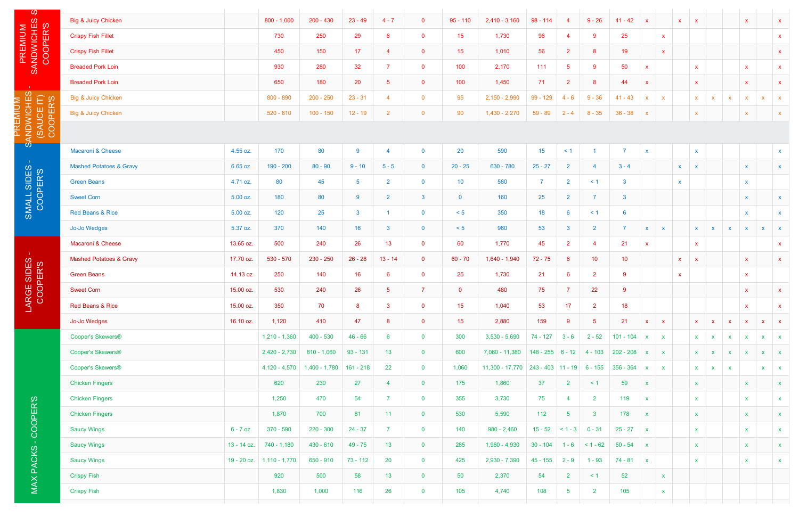| $\omega$                                       | Big & Juicy Chicken                |             | $800 - 1,000$   | $200 - 430$     | $23 - 49$      | $4 - 7$          | $\mathbf{0}$   | $95 - 110$      | $2,410 - 3,160$ | $98 - 114$                  | $\overline{4}$  | $9 - 26$         | $41 - 42$          | $\mathbf{x}$              |                           | $\boldsymbol{\mathsf{X}}$ | $\mathbf{x}$              |              |                           | $\mathbf{x}$              |                           | $\mathbf{x}$ |
|------------------------------------------------|------------------------------------|-------------|-----------------|-----------------|----------------|------------------|----------------|-----------------|-----------------|-----------------------------|-----------------|------------------|--------------------|---------------------------|---------------------------|---------------------------|---------------------------|--------------|---------------------------|---------------------------|---------------------------|--------------|
|                                                | <b>Crispy Fish Fillet</b>          |             | 730             | 250             | 29             | 6 <sup>1</sup>   | $\mathbf 0$    | 15              | 1,730           | 96                          | -4              | 9                | 25                 |                           | $\mathbf{x}$              |                           |                           |              |                           |                           |                           | $\mathbf{x}$ |
|                                                | <b>Crispy Fish Fillet</b>          |             | 450             | 150             | 17             | $\overline{4}$   | $\mathbf 0$    | 15              | 1,010           | 56                          | $\overline{2}$  | $\boldsymbol{8}$ | 19                 |                           | $\boldsymbol{\mathsf{X}}$ |                           |                           |              |                           |                           |                           | $\mathbf{x}$ |
| PREMIUM<br>SANDWICHES<br>COOPER'S              | <b>Breaded Pork Loin</b>           |             | 930             | 280             | 32             | 7 <sup>1</sup>   | $\mathbf{0}$   | 100             | 2,170           | 111                         | $\sqrt{5}$      | 9                | 50                 | x                         |                           |                           | $\boldsymbol{\mathsf{x}}$ |              |                           | $\mathbf{x}$              |                           | $\mathbf{x}$ |
| $\sim 10^{\circ}$                              | <b>Breaded Pork Loin</b>           |             | 650             | 180             | 20             | 5 <sub>1</sub>   | $\overline{0}$ | 100             | 1,450           | 71                          | $\overline{2}$  | $8\phantom{1}$   | 44                 | $\boldsymbol{\mathsf{x}}$ |                           |                           | $\boldsymbol{\mathsf{x}}$ |              |                           | $\mathbf{x}$              |                           | $\mathbf{x}$ |
|                                                | <b>Big &amp; Juicy Chicken</b>     |             | $800 - 890$     | $200 - 250$     | $23 - 31$      | $\overline{4}$   | $\mathbf 0$    | 95              | $2,150 - 2,990$ | $99 - 129$                  | $4 - 6$         | $9 - 36$         | $41 - 43$          | $\boldsymbol{\mathsf{x}}$ | $\mathbf{x}$              |                           | $\boldsymbol{\mathsf{x}}$ | $\mathbf{x}$ | $\boldsymbol{\mathsf{x}}$ | $\mathsf{x}$              | $\boldsymbol{\mathsf{x}}$ | $\mathbf{x}$ |
| SANDWICHES<br>(SAUCE IT)<br>COOPER'S<br>PREMIU | Big & Juicy Chicken                |             | $520 - 610$     | $100 - 150$     | $12 - 19$      | $\overline{2}$   | $\overline{0}$ | 90              | $1,430 - 2,270$ | $59 - 89$                   | $2 - 4$         | $8 - 35$         | $36 - 38$          |                           |                           |                           | $\boldsymbol{\mathsf{X}}$ |              |                           | $\boldsymbol{\mathsf{X}}$ |                           | $\mathbf{x}$ |
|                                                |                                    |             |                 |                 |                |                  |                |                 |                 |                             |                 |                  |                    |                           |                           |                           |                           |              |                           |                           |                           |              |
| $\mathbf{\Omega}$                              | Macaroni & Cheese                  | 4.55 oz.    | 170             | 80              | 9              | $\boldsymbol{4}$ | $\mathbf{0}$   | 20              | 590             | 15                          | $\leq$ 1        |                  | 7                  | $\boldsymbol{\mathsf{x}}$ |                           |                           | $\boldsymbol{\mathsf{x}}$ |              |                           |                           |                           | $\mathsf{X}$ |
| $\sim 10^{\circ}$                              | <b>Mashed Potatoes &amp; Gravy</b> | 6.65 oz.    | $190 - 200$     | $80 - 90$       | $9 - 10$       | $5 - 5$          | $\overline{0}$ | $20 - 25$       | 630 - 780       | $25 - 27$                   | $\overline{2}$  | 4                | $3 - 4$            |                           |                           | $\boldsymbol{\mathsf{X}}$ | $\boldsymbol{\mathsf{x}}$ |              |                           | $\mathbf{x}$              |                           | $\mathbf{x}$ |
|                                                | <b>Green Beans</b>                 | 4.71 oz.    | 80              | 45              | $5^{\circ}$    | $\overline{2}$   | $\overline{0}$ | 10 <sup>°</sup> | 580             | 7                           | $\overline{2}$  | $\leq$ 1         | $\mathbf{3}$       |                           |                           | $\boldsymbol{\mathsf{X}}$ |                           |              |                           | $\boldsymbol{\mathsf{X}}$ |                           |              |
|                                                | <b>Sweet Corn</b>                  |             | 180             |                 | $9^{\circ}$    |                  |                |                 | 160             |                             |                 |                  | 3                  |                           |                           |                           |                           |              |                           |                           |                           |              |
| SMALL SIDES                                    |                                    | 5.00 oz.    |                 | 80              |                | $\overline{2}$   | $\mathbf{3}$   | $\mathbf{0}$    |                 | 25                          | $\overline{2}$  |                  |                    |                           |                           |                           |                           |              |                           | $\boldsymbol{\mathsf{X}}$ |                           | X            |
|                                                | Red Beans & Rice                   | 5.00 oz.    | 120             | 25              | $\mathbf{3}$   |                  | $\mathbf{0}$   | < 5             | 350             | 18                          | 6               | $\leq$ 1         | 6<br>$\rightarrow$ |                           |                           |                           |                           |              |                           | $\mathbf{x}$              |                           | X            |
|                                                | Jo-Jo Wedges                       | 5.37 oz.    | 370             | 140             | 16             | 3 <sup>1</sup>   | $\overline{0}$ | < 5             | 960             | 53                          | 3               | $\overline{2}$   |                    | X                         | <b>X</b>                  |                           | X.                        | $\mathbf{x}$ | $\mathbf{x}$              | $\mathsf{X}$              | $\mathbf{x}$              | $\mathbf{x}$ |
| $\sim 10^{-11}$                                | Macaroni & Cheese                  | 13.65 oz.   | 500             | 240             | 26             | 13 <sup>°</sup>  | $\overline{0}$ | 60              | 1,770           | 45                          | $\overline{2}$  | $\overline{4}$   | 21                 | $\mathsf{X}$              |                           |                           | $\mathbf{x}$              |              |                           |                           |                           | $\mathbf{x}$ |
| LARGE SIDES -<br>COOPER'S                      | <b>Mashed Potatoes &amp; Gravy</b> | 17.70 oz.   | 530 - 570       | $230 - 250$     | $26 - 28$      | $13 - 14$        | $\overline{0}$ | $60 - 70$       | 1,640 - 1,940   | $72 - 75$                   | $6\phantom{1}6$ | 10 <sub>1</sub>  | 10 <sup>°</sup>    |                           |                           | $\mathbf{X}$              | $\mathbf{X}$              |              |                           | $\mathbf{x}$              |                           | $\mathbf{x}$ |
|                                                | <b>Green Beans</b>                 | 14.13 oz    | 250             | 140             | 16             | 6 <sup>1</sup>   | $\overline{0}$ | 25              | 1,730           | 21                          | $6\phantom{1}6$ | $\overline{2}$   | 9                  |                           |                           | $\mathbf x$               |                           |              |                           | $\mathbf{x}$              |                           |              |
|                                                | <b>Sweet Corn</b>                  | 15.00 oz.   | 530             | 240             | 26             | 5 <sub>1</sub>   | $\overline{7}$ | $\overline{0}$  | 480             | 75                          | $\overline{7}$  | 22               | 9                  |                           |                           |                           |                           |              |                           | $\mathsf{X}$              |                           | $\mathbf{x}$ |
|                                                | Red Beans & Rice                   | 15.00 oz.   | 350             | 70              | 8 <sup>1</sup> | 3 <sup>7</sup>   | $\overline{0}$ | 15              | 1,040           | 53                          | 17 <sup>°</sup> | 2 <sup>7</sup>   | 18                 |                           |                           |                           |                           |              |                           | $\mathbf{x}$              |                           | $\mathbf{x}$ |
|                                                | Jo-Jo Wedges                       | 16.10 oz.   | 1,120           | 410             | 47             | 8                | $\overline{0}$ | 15              | 2,880           | 159                         | 9               | 5 <sub>1</sub>   | 21                 | $\mathsf{X}^-$            | $\mathbf{X}$              |                           | $\mathsf{X}$              | $\mathbf{x}$ | $\mathbf{x}$              | $\mathbf{x}$              | $\mathbf{x}$              | $\mathbf{x}$ |
|                                                | Cooper's Skewers®                  |             | $1,210 - 1,360$ | $400 - 530$     | $46 - 66$      | $6^{\circ}$      | $\overline{0}$ | 300             | $3,530 - 5,690$ | $74 - 127$                  | $3 - 6$         | $2 - 52$         | $101 - 104$        | $\mathbf{X}$              | $\mathbf{X}$              |                           | $\mathbf{x}$              | $\mathbf{x}$ | $\mathbf{x}$              | $\mathbf{x}$              | $\mathbf{x}$              | $\mathbf{X}$ |
|                                                | Cooper's Skewers®                  |             | $2,420 - 2,730$ | $810 - 1,060$   | $93 - 131$     | 13 <sup>7</sup>  | $\overline{0}$ | 600             | 7,060 - 11,380  | $148 - 255$ 6 - 12          |                 | $4 - 103$        | $202 - 208$        | $\mathsf{X}$              | $\mathbf{X}$              |                           | $\mathbf{X}$              | $\mathbf{x}$ | $\mathbf{x}$              | $\mathbf{x}$              | $\mathbf{x}$              | $\mathbf{X}$ |
|                                                | Cooper's Skewers®                  |             | $4,120 - 4,570$ | $1,400 - 1,780$ | $161 - 218$    | 22               | $\mathbf{0}$   | 1,060           | 11,300 - 17,770 | $243 - 403$ 11 - 19 6 - 155 |                 |                  | $356 - 364$        | $\mathbf{x}$              | $\mathbf{X}$              |                           | $\mathbf{x}$              | $\mathbf{x}$ | $\mathbf{X}$              |                           | $\mathbf{x}$              | $\mathbf{X}$ |
|                                                | <b>Chicken Fingers</b>             |             | 620             | 230             | 27             | 4                | $\overline{0}$ | 175             | 1,860           | 37                          | $\overline{2}$  | $\leq$ 1         | 59                 | <b>X</b>                  |                           |                           | $\mathbf{X}$              |              |                           | $\mathbf{x}$              |                           | $\mathsf{X}$ |
|                                                | <b>Chicken Fingers</b>             |             | 1,250           | 470             | 54             | $\overline{7}$   | $\overline{0}$ | 355             | 3,730           | 75                          | $\overline{4}$  | 2 <sup>7</sup>   | 119                | $\mathbf{x}$              |                           |                           | $\mathsf{x}$              |              |                           | $\mathbf{x}$              |                           | $\mathbf{x}$ |
|                                                | <b>Chicken Fingers</b>             |             | 1,870           | 700             | 81             | 11 <sub>1</sub>  | $\overline{0}$ | 530             | 5,590           | $112$                       | $\sqrt{5}$      | 3 <sup>1</sup>   | 178                | $\mathsf{x}$              |                           |                           | $\boldsymbol{\mathsf{x}}$ |              |                           | $\mathbf{x}$              |                           | $\mathbf{X}$ |
| -COOPER'S                                      | <b>Saucy Wings</b>                 | $6 - 7$ oz. | 370 - 590       | $220 - 300$     | $24 - 37$      | 7 <sup>1</sup>   | $\overline{0}$ | 140             | $980 - 2,460$   | $15 - 52$                   | $< 1 - 3$       | $0 - 31$         | $25 - 27$          | $\mathbf{x}$              |                           |                           | $\boldsymbol{\mathsf{x}}$ |              |                           | $\mathbf{x}$              |                           | $\mathbf{x}$ |
|                                                | <b>Saucy Wings</b>                 | 13 - 14 oz. | 740 - 1,180     | $430 - 610$     | $49 - 75$      | 13 <sup>°</sup>  | $\overline{0}$ | 285             | $1,960 - 4,930$ | $30 - 104$                  | $1 - 6$         | $< 1 - 62$       | $50 - 54$          | $\boldsymbol{\mathsf{x}}$ |                           |                           | $\boldsymbol{\mathsf{x}}$ |              |                           | $\mathbf{x}$              |                           | $\mathbf{x}$ |
| MAX PACKS                                      | <b>Saucy Wings</b>                 | 19 - 20 oz. | $1,110 - 1,770$ | 650 - 910       | $73 - 112$     | 20               | $\mathbf{0}$   | 425             | $2,930 - 7,390$ | $45 - 155$                  | $2 - 9$         | $1 - 93$         | $74 - 81$          | $\mathbf{x}$              |                           |                           | $\boldsymbol{\mathsf{x}}$ |              |                           | $\mathbf{x}$              |                           | $\mathsf{x}$ |
|                                                | <b>Crispy Fish</b>                 |             | 920             | 500             | 58             | 13 <sup>°</sup>  | $\overline{0}$ | 50              | 2,370           | 54                          | $\overline{2}$  | $\leq$ 1         | 52                 |                           | $\mathbf{x}$              |                           |                           |              |                           |                           |                           |              |
|                                                | <b>Crispy Fish</b>                 |             | 1,830           | 1,000           | 116            | 26               | $\overline{0}$ | 105             | 4,740           | 108                         | $\overline{5}$  | 2 <sub>1</sub>   | 105                |                           | $\mathbf{x}$              |                           |                           |              |                           |                           |                           |              |
|                                                |                                    |             |                 |                 |                |                  |                |                 |                 |                             |                 |                  |                    |                           |                           |                           |                           |              |                           |                           |                           |              |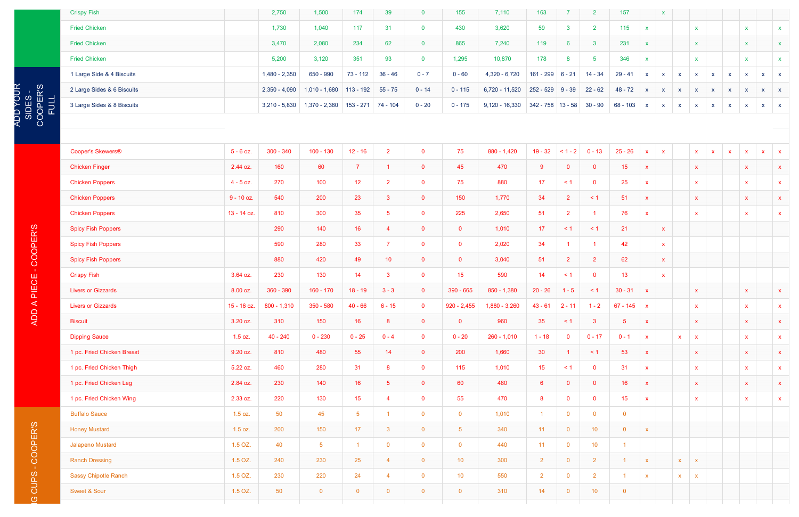ADD YOUR<br>SIDES -SIDES -

|                          | <b>Crispy Fish</b>         | 2,750           | 1,500           | 174         | 39        | $\mathbf 0$  | 155       | 7,110            | 163                 |                 |  |
|--------------------------|----------------------------|-----------------|-----------------|-------------|-----------|--------------|-----------|------------------|---------------------|-----------------|--|
|                          | <b>Fried Chicken</b>       | 1,730           | 1,040           | 117         | 31        | $\mathbf{0}$ | 430       | 3,620            | 59                  | 3               |  |
|                          | <b>Fried Chicken</b>       | 3,470           | 2,080           | 234         | 62        | $\mathbf 0$  | 865       | 7,240            | 119                 | $6\phantom{1}6$ |  |
|                          | <b>Fried Chicken</b>       | 5,200           | 3,120           | 351         | 93        | $\mathbf 0$  | 1,295     | 10,870           | 178                 | 8               |  |
|                          | 1 Large Side & 4 Biscuits  | $1,480 - 2,350$ | 650 - 990       | $73 - 112$  | $36 - 46$ | $0 - 7$      | $0 - 60$  | $4,320 - 6,720$  | $161 - 299$ 6 - 21  |                 |  |
| COOPER'S<br>FULL<br>FULL | 2 Large Sides & 6 Biscuits | $2,350 - 4,090$ | $1,010 - 1,680$ | $113 - 192$ | $55 - 75$ | $0 - 14$     | $0 - 115$ | $6,720 - 11,520$ | $252 - 529$ 9 - 39  |                 |  |
|                          | 3 Large Sides & 8 Biscuits | $3,210 - 5,830$ | $1,370 - 2,380$ | $153 - 271$ | 74 - 104  | $0 - 20$     | $0 - 175$ | $9,120 - 16,330$ | $342 - 758$ 13 - 58 |                 |  |
|                          |                            |                 |                 |             |           |              |           |                  |                     |                 |  |

| <b>Crispy Fish</b>          |               | 2,750           | 1,500           | 174             | 39              | $\mathbf{0}$   | 155              | 7,110            | 163                 | 7                | 2               | 157            |                           |              |              |              |              |              |              |              |              |
|-----------------------------|---------------|-----------------|-----------------|-----------------|-----------------|----------------|------------------|------------------|---------------------|------------------|-----------------|----------------|---------------------------|--------------|--------------|--------------|--------------|--------------|--------------|--------------|--------------|
| <b>Fried Chicken</b>        |               | 1,730           | 1,040           | 117             | 31              | $\mathbf{0}$   | 430              | 3,620            | 59                  | $\mathbf{3}$     | $\overline{2}$  | 115            | $\boldsymbol{\mathsf{x}}$ |              |              | $\mathbf{x}$ |              |              | $\mathbf{x}$ |              | $\mathbf{x}$ |
| <b>Fried Chicken</b>        |               | 3,470           | 2,080           | 234             | 62              | $\overline{0}$ | 865              | 7,240            | 119                 | $6\overline{6}$  | $\mathbf{3}$    | 231            | $\mathbf{x}$              |              |              | $\mathbf{x}$ |              |              | $\mathbf{x}$ |              | $\mathbf{x}$ |
| <b>Fried Chicken</b>        |               | 5,200           | 3,120           | 351             | 93              | $\overline{0}$ | 1,295            | 10,870           | 178                 | $\boldsymbol{8}$ | 5               | 346            | $\mathbf{x}$              |              |              | $\mathbf{x}$ |              |              | $\mathbf{x}$ |              | $\mathbf{x}$ |
| 1 Large Side & 4 Biscuits   |               | $1,480 - 2,350$ | 650 - 990       | $73 - 112$      | $36 - 46$       | $0 - 7$        | $0 - 60$         | $4,320 - 6,720$  | 161 - 299           | $6 - 21$         | $14 - 34$       | $29 - 41$      | $\mathbf{x}$              | $\mathsf{X}$ | $\mathsf{X}$ | $\mathbf{x}$ | $\mathbf{x}$ | $\mathsf{x}$ | $\mathsf{X}$ | $\mathsf{X}$ | $\mathbf{x}$ |
| 2 Large Sides & 6 Biscuits  |               | $2,350 - 4,090$ | $1,010 - 1,680$ | $113 - 192$     | $55 - 75$       | $0 - 14$       | $0 - 115$        | 6,720 - 11,520   | 252 - 529           | $9 - 39$         | $22 - 62$       | $48 - 72$      | $\mathbf{x}$              | $\mathsf{X}$ | $\mathsf{X}$ | $\mathbf{x}$ | $\mathbf{x}$ | $\mathsf{X}$ | $\mathbf{x}$ | <b>X</b>     | $\mathbf{x}$ |
| 3 Large Sides & 8 Biscuits  |               | $3,210 - 5,830$ | $1,370 - 2,380$ | $153 - 271$     | 74 - 104        | $0 - 20$       | $0 - 175$        | $9,120 - 16,330$ | $342 - 758$ 13 - 58 |                  | $30 - 90$       | $68 - 103$     | $\mathbf{x}$              | $\mathbf{x}$ | $\mathbf{x}$ | $\mathbf{x}$ | $\mathbf{x}$ | X            | X            | $\mathsf{X}$ | $\mathbf{X}$ |
|                             |               |                 |                 |                 |                 |                |                  |                  |                     |                  |                 |                |                           |              |              |              |              |              |              |              |              |
| Cooper's Skewers®           | $5 - 6$ oz.   | $300 - 340$     | $100 - 130$     | $12 - 16$       | $\overline{2}$  | $\mathbf 0$    | 75               | $880 - 1,420$    | $19 - 32$           | $< 1 - 2$        | $0 - 13$        | $25 - 26$      | $\mathbf{x}$              | $\mathbf{x}$ |              | $\mathbf{x}$ | $\mathbf{x}$ | $\mathbf{x}$ | $\mathbf{x}$ | $\mathbf{x}$ | $\mathbf{x}$ |
| <b>Chicken Finger</b>       | 2.44 oz.      | 160             | 60              | $\overline{7}$  | $\overline{1}$  | $\mathbf 0$    | 45               | 470              | 9                   | $\mathbf 0$      | $\mathbf 0$     | 15             | $\mathbf{x}$              |              |              | $\mathbf{x}$ |              |              | $\mathbf{x}$ |              | $\mathbf{x}$ |
| <b>Chicken Poppers</b>      | $4 - 5$ oz.   | 270             | 100             | 12              | $\overline{2}$  | $\mathbf 0$    | 75               | 880              | 17                  | $\leq 1$         | $\mathbf 0$     | 25             | $\mathbf{x}$              |              |              | $\mathbf{x}$ |              |              | $\mathbf{x}$ |              | $\mathbf{x}$ |
| <b>Chicken Poppers</b>      | $9 - 10$ oz.  | 540             | 200             | 23              | $\mathbf{3}$    | $\mathbf 0$    | 150              | 1,770            | 34                  | $\overline{2}$   | $\leq 1$        | 51             | $\mathbf{x}$              |              |              | $\mathbf{x}$ |              |              | $\mathbf{x}$ |              | $\mathbf{x}$ |
| <b>Chicken Poppers</b>      | $13 - 14$ oz. | 810             | 300             | 35              | $5^{\circ}$     | $\overline{0}$ | 225              | 2,650            | 51                  | $\overline{2}$   |                 | 76             | $\mathbf{x}$              |              |              | $\mathbf{x}$ |              |              | $\mathbf{x}$ |              | $\mathbf{x}$ |
| <b>Spicy Fish Poppers</b>   |               | 290             | 140             | 16              | $\overline{4}$  | $\overline{0}$ | $\overline{0}$   | 1,010            | 17 <sup>2</sup>     | $\leq$ 1         | $\leq 1$        | 21             |                           | $\mathbf{x}$ |              |              |              |              |              |              |              |
| <b>Spicy Fish Poppers</b>   |               | 590             | 280             | 33              | $\overline{7}$  | $\overline{0}$ | $\overline{0}$   | 2,020            | 34                  | $\overline{1}$   |                 | 42             |                           | $\mathbf{x}$ |              |              |              |              |              |              |              |
| <b>Spicy Fish Poppers</b>   |               | 880             | 420             | 49              | 10 <sup>°</sup> | $\overline{0}$ | $\overline{0}$   | 3,040            | 51                  | $\overline{2}$   | $\overline{2}$  | 62             |                           | $\mathsf{x}$ |              |              |              |              |              |              |              |
| <b>Crispy Fish</b>          | 3.64 oz.      | 230             | 130             | 14              | $\mathbf{3}$    | $\mathbf 0$    | 15 <sub>15</sub> | 590              | 14                  | $\leq$ 1         | $\mathbf 0$     | 13             |                           | $\mathbf{x}$ |              |              |              |              |              |              |              |
| <b>Livers or Gizzards</b>   | 8.00 oz.      | $360 - 390$     | $160 - 170$     | $18 - 19$       | $3 - 3$         | $\overline{0}$ | $390 - 665$      | 850 - 1,380      | $20 - 26$           | $1 - 5$          | < 1             | $30 - 31$      | $\mathbf{x}$              |              |              | $\mathsf{x}$ |              |              | $\mathbf{x}$ |              | $\mathbf{x}$ |
| <b>Livers or Gizzards</b>   | 15 - 16 oz.   | $800 - 1,310$   | $350 - 580$     | $40 - 66$       | $6 - 15$        | $\mathbf 0$    | $920 - 2,455$    | $1,880 - 3,260$  | $43 - 61$           | $2 - 11$         | $1 - 2$         | $67 - 145$     | $\mathbf{x}$              |              |              | $\mathbf{x}$ |              |              | $\mathbf{x}$ |              | $\mathbf{x}$ |
| <b>Biscuit</b>              | 3.20 oz.      | 310             | 150             | 16              | 8               | $\overline{0}$ | $\mathbf{0}$     | 960              | 35                  | $\leq$ 1         | 3               | $\sqrt{5}$     | $\mathbf{x}$              |              |              | $\mathbf{x}$ |              |              | $\mathbf{x}$ |              | $\mathbf{x}$ |
| <b>Dipping Sauce</b>        | $1.5$ oz.     | $40 - 240$      | $0 - 230$       | $0 - 25$        | $0 - 4$         | $\mathbf{0}$   | $0 - 20$         | $260 - 1,010$    | $1 - 18$            | $\overline{0}$   | $0 - 17$        | $0 - 1$        | $\mathbf{x}$              |              | $\mathsf{x}$ | $\mathbf{x}$ |              |              | $\mathbf{x}$ |              | $\mathbf{x}$ |
| 1 pc. Fried Chicken Breast  | 9.20 oz.      | 810             | 480             | 55              | 14              | $\overline{0}$ | 200              | 1,660            | 30 <sub>o</sub>     | $\overline{1}$   | $\leq$ 1        | 53             | $\mathbf{x}$              |              |              | $\mathbf{x}$ |              |              | $\mathbf{x}$ |              | $\mathbf{x}$ |
| 1 pc. Fried Chicken Thigh   | 5.22 oz.      | 460             | 280             | 31              | 8 <sup>°</sup>  | $\overline{0}$ | 115              | 1,010            | 15                  | $\leq$ 1         | $\overline{0}$  | 31             | $\mathbf{x}$              |              |              | $\mathbf{x}$ |              |              | $\mathbf{x}$ |              | $\mathbf{x}$ |
| 1 pc. Fried Chicken Leg     | 2.84 oz.      | 230             | 140             | 16              | 5 <sup>5</sup>  | $\overline{0}$ | 60               | 480              | $6^{\circ}$         | $\overline{0}$   | $\mathbf 0$     | 16             | $\boldsymbol{\mathsf{X}}$ |              |              | $\mathbf{x}$ |              |              | $\mathbf{x}$ |              | $\mathbf{x}$ |
| 1 pc. Fried Chicken Wing    | 2.33 oz.      | 220             | 130             | 15              | $\overline{4}$  | $\mathbf{0}$   | 55               | 470              | 8                   | $\overline{0}$   | $\mathbf{0}$    | 15             | $\mathbf{x}$              |              |              | $\mathbf{x}$ |              |              | $\mathbf{x}$ |              | $\mathbf{x}$ |
| <b>Buffalo Sauce</b>        | $1.5$ oz.     | 50              | 45              | $5\phantom{.0}$ | -1              | $\overline{0}$ | $\overline{0}$   | 1,010            | $\overline{1}$      | $\overline{0}$   | $\overline{0}$  | $\mathbf 0$    |                           |              |              |              |              |              |              |              |              |
| <b>Honey Mustard</b>        | $1.5$ oz.     | 200             | 150             | 17              | $\mathbf{3}$    | $\overline{0}$ | 5 <sup>5</sup>   | 340              | 11                  | $\overline{0}$   | 10              | $\overline{0}$ | $\mathsf X$               |              |              |              |              |              |              |              |              |
| Jalapeno Mustard            | 1.5 OZ.       | 40              | 5 <sup>5</sup>  | $\overline{1}$  | $\mathbf{0}$    | $\mathbf 0$    | $\overline{0}$   | 440              | 11                  | $\overline{0}$   | 10              | $\overline{1}$ |                           |              |              |              |              |              |              |              |              |
| <b>Ranch Dressing</b>       | 1.5 OZ.       | 240             | 230             | 25              | $\overline{4}$  | $\overline{0}$ | 10 <sup>°</sup>  | 300              | $\overline{2}$      | $\overline{0}$   | $\overline{2}$  |                | $\boldsymbol{\mathsf{X}}$ |              | $\mathsf{X}$ | $\mathbf{x}$ |              |              |              |              |              |
| <b>Sassy Chipotle Ranch</b> | 1.5 OZ.       | 230             | 220             | 24              | $\overline{4}$  | $\mathbf 0$    | 10 <sup>°</sup>  | 550              | $\overline{2}$      | $\overline{0}$   | $\overline{2}$  |                | $\mathbf{X}$              |              | $\mathsf{X}$ | $\mathbf{X}$ |              |              |              |              |              |
| Sweet & Sour                | 1.5 OZ.       | 50              | $\overline{0}$  | $\overline{0}$  | $\mathbf{0}$    | $\overline{0}$ | $\overline{0}$   | 310              | 14                  | $\overline{0}$   | 10 <sub>1</sub> | $\overline{0}$ |                           |              |              |              |              |              |              |              |              |